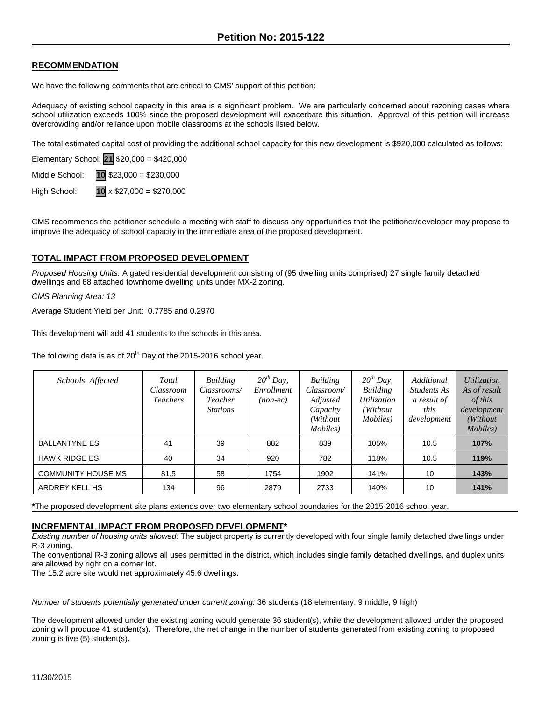## **RECOMMENDATION**

We have the following comments that are critical to CMS' support of this petition:

Adequacy of existing school capacity in this area is a significant problem. We are particularly concerned about rezoning cases where school utilization exceeds 100% since the proposed development will exacerbate this situation. Approval of this petition will increase overcrowding and/or reliance upon mobile classrooms at the schools listed below.

The total estimated capital cost of providing the additional school capacity for this new development is \$920,000 calculated as follows:

Elementary School: **21** \$20,000 = \$420,000

Middle School: **10** \$23,000 = \$230,000

High School: **10** x \$27,000 = \$270,000

CMS recommends the petitioner schedule a meeting with staff to discuss any opportunities that the petitioner/developer may propose to improve the adequacy of school capacity in the immediate area of the proposed development.

## **TOTAL IMPACT FROM PROPOSED DEVELOPMENT**

*Proposed Housing Units:* A gated residential development consisting of (95 dwelling units comprised) 27 single family detached dwellings and 68 attached townhome dwelling units under MX-2 zoning.

*CMS Planning Area: 13*

Average Student Yield per Unit: 0.7785 and 0.2970

This development will add 41 students to the schools in this area.

The following data is as of  $20<sup>th</sup>$  Day of the 2015-2016 school year.

| Schools Affected          | Total<br>Classroom<br><b>Teachers</b> | Building<br>Classrooms/<br>Teacher<br><b>Stations</b> | $20^{th}$ Day,<br>Enrollment<br>(nonec) | Building<br>Classroom/<br>Adjusted<br>Capacity<br>(Without)<br>Mobiles) | $20^{th}$ Day,<br>Building<br>Utilization<br>(Without)<br>Mobiles) | Additional<br>Students As<br>a result of<br>this<br>development | <i>Utilization</i><br>As of result<br>of this<br>development<br>(Without<br><i>Mobiles</i> ) |
|---------------------------|---------------------------------------|-------------------------------------------------------|-----------------------------------------|-------------------------------------------------------------------------|--------------------------------------------------------------------|-----------------------------------------------------------------|----------------------------------------------------------------------------------------------|
| <b>BALLANTYNE ES</b>      | 41                                    | 39                                                    | 882                                     | 839                                                                     | 105%                                                               | 10.5                                                            | 107%                                                                                         |
| <b>HAWK RIDGE ES</b>      | 40                                    | 34                                                    | 920                                     | 782                                                                     | 118%                                                               | 10.5                                                            | 119%                                                                                         |
| <b>COMMUNITY HOUSE MS</b> | 81.5                                  | 58                                                    | 1754                                    | 1902                                                                    | 141%                                                               | 10                                                              | 143%                                                                                         |
| ARDREY KELL HS            | 134                                   | 96                                                    | 2879                                    | 2733                                                                    | 140%                                                               | 10                                                              | 141%                                                                                         |

**\***The proposed development site plans extends over two elementary school boundaries for the 2015-2016 school year.

## **INCREMENTAL IMPACT FROM PROPOSED DEVELOPMENT\***

*Existing number of housing units allowed:* The subject property is currently developed with four single family detached dwellings under R-3 zoning.

The conventional R-3 zoning allows all uses permitted in the district, which includes single family detached dwellings, and duplex units are allowed by right on a corner lot.

The 15.2 acre site would net approximately 45.6 dwellings.

*Number of students potentially generated under current zoning:* 36 students (18 elementary, 9 middle, 9 high)

The development allowed under the existing zoning would generate 36 student(s), while the development allowed under the proposed zoning will produce 41 student(s). Therefore, the net change in the number of students generated from existing zoning to proposed zoning is five (5) student(s).